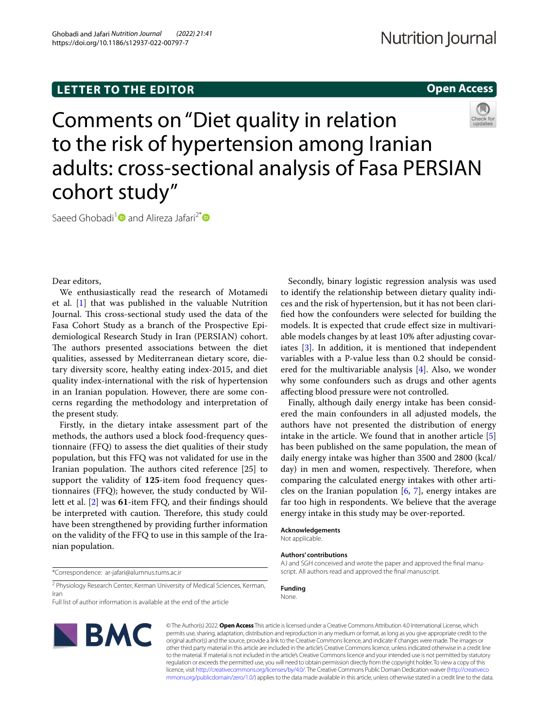# **LETTER TO THE EDITOR**

## **Open Access**



Comments on "Diet quality in relation to the risk of hypertension among Iranian adults: cross-sectional analysis of Fasa PERSIAN cohort study"

Saeed Ghobadi<sup>1</sup> and Alireza Jafari<sup>2\*</sup>

Dear editors,

We enthusiastically read the research of Motamedi et al. [[1\]](#page-1-0) that was published in the valuable Nutrition Journal. This cross-sectional study used the data of the Fasa Cohort Study as a branch of the Prospective Epidemiological Research Study in Iran (PERSIAN) cohort. The authors presented associations between the diet qualities, assessed by Mediterranean dietary score, dietary diversity score, healthy eating index-2015, and diet quality index-international with the risk of hypertension in an Iranian population. However, there are some concerns regarding the methodology and interpretation of the present study.

Firstly, in the dietary intake assessment part of the methods, the authors used a block food-frequency questionnaire (FFQ) to assess the diet qualities of their study population, but this FFQ was not validated for use in the Iranian population. The authors cited reference [25] to support the validity of **125**-item food frequency questionnaires (FFQ); however, the study conducted by Willett et al. [\[2\]](#page-1-1) was **61**-item FFQ, and their fndings should be interpreted with caution. Therefore, this study could have been strengthened by providing further information on the validity of the FFQ to use in this sample of the Iranian population.

\*Correspondence: ar-jafari@alumnus.tums.ac.ir

<sup>2</sup> Physiology Research Center, Kerman University of Medical Sciences, Kerman, Iran

Full list of author information is available at the end of the article



© The Author(s) 2022. **Open Access** This article is licensed under a Creative Commons Attribution 4.0 International License, which permits use, sharing, adaptation, distribution and reproduction in any medium or format, as long as you give appropriate credit to the original author(s) and the source, provide a link to the Creative Commons licence, and indicate if changes were made. The images or other third party material in this article are included in the article's Creative Commons licence, unless indicated otherwise in a credit line to the material. If material is not included in the article's Creative Commons licence and your intended use is not permitted by statutory regulation or exceeds the permitted use, you will need to obtain permission directly from the copyright holder. To view a copy of this licence, visit [http://creativecommons.org/licenses/by/4.0/.](http://creativecommons.org/licenses/by/4.0/) The Creative Commons Public Domain Dedication waiver ([http://creativeco](http://creativecommons.org/publicdomain/zero/1.0/) [mmons.org/publicdomain/zero/1.0/](http://creativecommons.org/publicdomain/zero/1.0/)) applies to the data made available in this article, unless otherwise stated in a credit line to the data.

Secondly, binary logistic regression analysis was used to identify the relationship between dietary quality indices and the risk of hypertension, but it has not been clarifed how the confounders were selected for building the models. It is expected that crude efect size in multivariable models changes by at least 10% after adjusting covariates [\[3](#page-1-2)]. In addition, it is mentioned that independent variables with a P-value less than 0.2 should be considered for the multivariable analysis [\[4](#page-1-3)]. Also, we wonder why some confounders such as drugs and other agents afecting blood pressure were not controlled.

Finally, although daily energy intake has been considered the main confounders in all adjusted models, the authors have not presented the distribution of energy intake in the article. We found that in another article [\[5](#page-1-4)] has been published on the same population, the mean of daily energy intake was higher than 3500 and 2800 (kcal/ day) in men and women, respectively. Therefore, when comparing the calculated energy intakes with other articles on the Iranian population  $[6, 7]$  $[6, 7]$  $[6, 7]$ , energy intakes are far too high in respondents. We believe that the average energy intake in this study may be over-reported.

## **Acknowledgements**

Not applicable.

## **Authors' contributions**

AJ and SGH conceived and wrote the paper and approved the fnal manuscript. All authors read and approved the fnal manuscript.

#### **Funding** None.